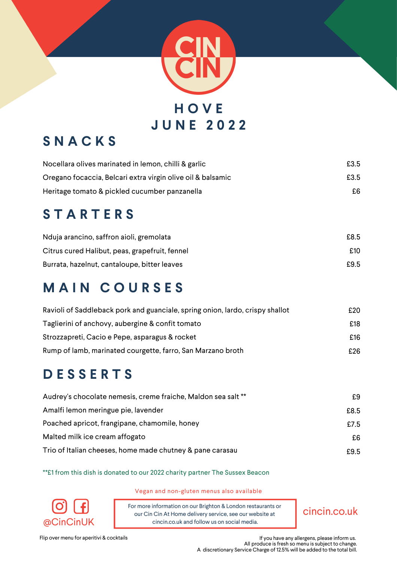

# **S N A C K S**

| Nocellara olives marinated in lemon, chilli & garlic        | £3.5 |
|-------------------------------------------------------------|------|
| Oregano focaccia, Belcari extra virgin olive oil & balsamic | £3.5 |
| Heritage tomato & pickled cucumber panzanella               | £6   |

# **S T A R T E R S**

| Nduja arancino, saffron aioli, gremolata       | £8.5 |
|------------------------------------------------|------|
| Citrus cured Halibut, peas, grapefruit, fennel | £10  |
| Burrata, hazelnut, cantaloupe, bitter leaves   | £9.5 |

## **M A I N C O U R S E S**

| Ravioli of Saddleback pork and guanciale, spring onion, lardo, crispy shallot | £20 |
|-------------------------------------------------------------------------------|-----|
| Taglierini of anchovy, aubergine & confit tomato                              | £18 |
| Strozzapreti, Cacio e Pepe, asparagus & rocket                                | £16 |
| Rump of lamb, marinated courgette, farro, San Marzano broth                   | £26 |

# **D E S S E R T S**

| Audrey's chocolate nemesis, creme fraiche, Maldon sea salt ** | £9   |
|---------------------------------------------------------------|------|
| Amalfi lemon meringue pie, lavender                           | £8.5 |
| Poached apricot, frangipane, chamomile, honey                 | £7.5 |
| Malted milk ice cream affogato                                | £6   |
| Trio of Italian cheeses, home made chutney & pane carasau     | £9.5 |

\*\*£1 from this dish is donated to our 2022 charity partner The Sussex Beacon



Vegan and non-gluten menus also available

For more information on our Brighton & London restaurants or our Cin Cin At Home delivery service, see our website at  $@CinCinUK$  cincin.co.uk and follow us on social media.

cincin.co.uk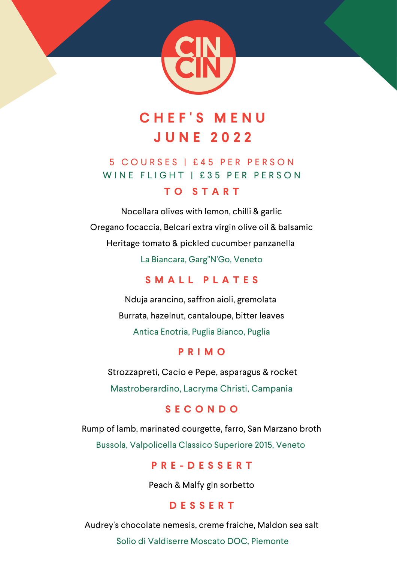

# **C H E F ' S M E N U J U N E 2 0 2 2**

## 5 C O U R S E S | £ 4 5 P E R P E R S O N WINE FLIGHT | £35 PER PERSON

#### **T O S T A R T**

Nocellara olives with lemon, chilli & garlic Oregano focaccia, Belcari extra virgin olive oil & balsamic Heritage tomato & pickled cucumber panzanella La Biancara, Garg"N'Go, Veneto

#### **S M A L L P L A T E S**

Nduja arancino, saffron aioli, gremolata Burrata, hazelnut, cantaloupe, bitter leaves Antica Enotria, Puglia Bianco, Puglia

#### **P R I M O**

Strozzapreti, Cacio e Pepe, asparagus & rocket Mastroberardino, Lacryma Christi, Campania

#### **S E C O N D O**

Rump of lamb, marinated courgette, farro, San Marzano broth Bussola, Valpolicella Classico Superiore 2015, Veneto

#### **P R E - D E S S E R T**

Peach & Malfy gin sorbetto

#### **D E S S E R T**

Audrey's chocolate nemesis, creme fraiche, Maldon sea salt

Solio di Valdiserre Moscato DOC, Piemonte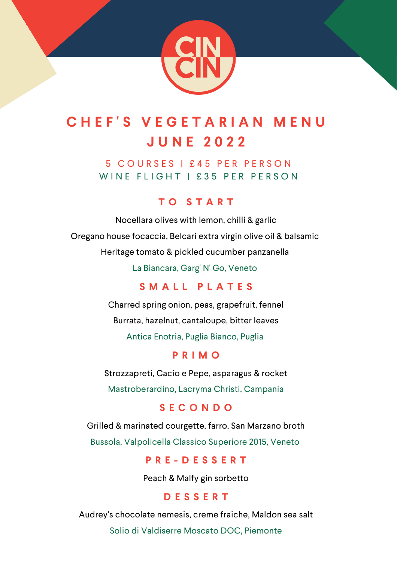

# **C H E F ' S V E G E T A R I A N M E N U J U N E 2 0 2 2**

5 C O U R S E S | £ 4 5 P E R P E R S O N WINE FLIGHT | £35 PER PERSON

#### **T O S T A R T**

Nocellara olives with lemon, chilli & garlic Oregano house focaccia, Belcari extra virgin olive oil & balsamic Heritage tomato & pickled cucumber panzanella

La Biancara, Garg' N' Go, Veneto

#### **S M A L L P L A T E S**

Charred spring onion, peas, grapefruit, fennel Burrata, hazelnut, cantaloupe, bitter leaves Antica Enotria, Puglia Bianco, Puglia

#### **P R I M O**

Strozzapreti, Cacio e Pepe, asparagus & rocket Mastroberardino, Lacryma Christi, Campania

#### **S E C O N D O**

Grilled & marinated courgette, farro, San Marzano broth

Bussola, Valpolicella Classico Superiore 2015, Veneto

#### **P R E - D E S S E R T**

Peach & Malfy gin sorbetto

#### **D E S S E R T**

Audrey's chocolate nemesis, creme fraiche, Maldon sea salt

Solio di Valdiserre Moscato DOC, Piemonte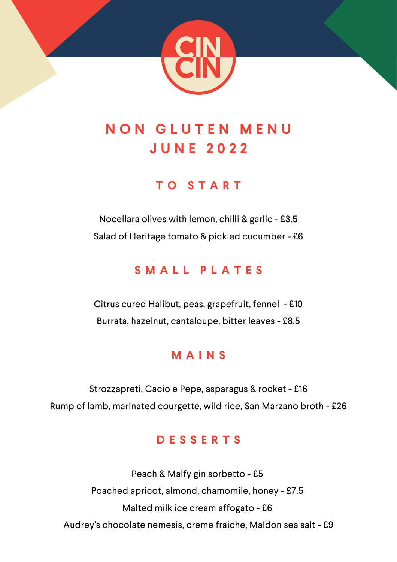

# **N O N G L U T E N M E N U J U N E 2 0 2 2**

## **T O S T A R T**

Nocellara olives with lemon, chilli & garlic - £3.5 Salad of Heritage tomato & pickled cucumber - £6

## **S M A L L P L A T E S**

Citrus cured Halibut, peas, grapefruit, fennel - £10 Burrata, hazelnut, cantaloupe, bitter leaves - £8.5

## **M A I N S**

Strozzapreti, Cacio e Pepe, asparagus & rocket - £16 Rump of lamb, marinated courgette, wild rice, San Marzano broth - £26

#### **D E S S E R T S**

Peach & Malfy gin sorbetto - £5 Poached apricot, almond, chamomile, honey - £7.5 Malted milk ice cream affogato - £6 Audrey's chocolate nemesis, creme fraiche, Maldon sea salt - £9